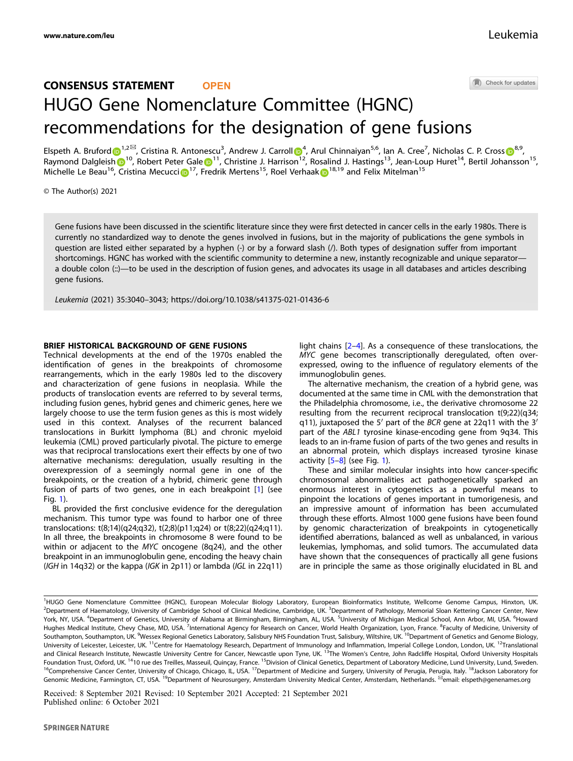Check for updates

# CONSENSUS STATEMENT **OPEN** HUGO Gene Nomenclature Committee (HGNC) recommendations for the designation of gene fusions

Elspeth A. Brufor[d](http://orcid.org/0000-0002-8380-5247) D<sup>[1](http://orcid.org/0000-0002-8380-5247),2⊠</sup>, Cristina R. Antonescu<sup>3</sup>, Andrew J. Carroll D<sup>[4](http://orcid.org/0000-0001-9844-730X)</sup>, Arul Chinnaiyan<sup>5,6</sup>, Ian A. Cree<sup>7</sup>, Nicholas C. P. Cross D<sup>[8](http://orcid.org/0000-0001-5481-2555),9</sup>, Raymond Dalgleis[h](http://orcid.org/0000-0001-7667-187X) [1](http://orcid.org/0000-0001-9844-730X)<sup>10</sup>, Rob[e](http://orcid.org/0000-0002-9156-1676)rt Peter Gale 1<sup>11</sup>, Christine J. Harrison<sup>12</sup>, Rosalind J. Hastings<sup>13</sup>, Jean-Loup Huret<sup>14</sup>, Bertil Johansson<sup>15</sup>, Michelle Le Beau<sup>[1](http://orcid.org/0000-0003-2773-0436)6</sup>, Cristina Mecucci D<sup>17</sup>, Fredrik Mertens<sup>15</sup>, Roel Verhaak D<sup>18,19</sup> and Felix Mitelman<sup>15</sup>

© The Author(s) 2021

Gene fusions have been discussed in the scientific literature since they were first detected in cancer cells in the early 1980s. There is currently no standardized way to denote the genes involved in fusions, but in the majority of publications the gene symbols in question are listed either separated by a hyphen (-) or by a forward slash (/). Both types of designation suffer from important shortcomings. HGNC has worked with the scientific community to determine a new, instantly recognizable and unique separator a double colon (::)—to be used in the description of fusion genes, and advocates its usage in all databases and articles describing gene fusions.

Leukemia (2021) 35:3040–3043;<https://doi.org/10.1038/s41375-021-01436-6>

### BRIEF HISTORICAL BACKGROUND OF GENE FUSIONS

Technical developments at the end of the 1970s enabled the identification of genes in the breakpoints of chromosome rearrangements, which in the early 1980s led to the discovery and characterization of gene fusions in neoplasia. While the products of translocation events are referred to by several terms, including fusion genes, hybrid genes and chimeric genes, here we largely choose to use the term fusion genes as this is most widely used in this context. Analyses of the recurrent balanced translocations in Burkitt lymphoma (BL) and chronic myeloid leukemia (CML) proved particularly pivotal. The picture to emerge was that reciprocal translocations exert their effects by one of two alternative mechanisms: deregulation, usually resulting in the overexpression of a seemingly normal gene in one of the breakpoints, or the creation of a hybrid, chimeric gene through fusion of parts of two genes, one in each breakpoint [[1](#page-2-0)] (see Fig. [1\)](#page-1-0).

BL provided the first conclusive evidence for the deregulation mechanism. This tumor type was found to harbor one of three translocations: t(8;14)(q24;q32), t(2;8)(p11;q24) or t(8;22)(q24;q11). In all three, the breakpoints in chromosome 8 were found to be within or adjacent to the MYC oncogene (8q24), and the other breakpoint in an immunoglobulin gene, encoding the heavy chain (IGH in 14q32) or the kappa (IGK in 2p11) or lambda (IGL in 22q11)

light chains [\[2](#page-2-0)–[4\]](#page-2-0). As a consequence of these translocations, the MYC gene becomes transcriptionally deregulated, often overexpressed, owing to the influence of regulatory elements of the immunoglobulin genes.

The alternative mechanism, the creation of a hybrid gene, was documented at the same time in CML with the demonstration that the Philadelphia chromosome, i.e., the derivative chromosome 22 resulting from the recurrent reciprocal translocation t(9;22)(q34; q11), juxtaposed the 5′ part of the BCR gene at 22q11 with the 3′ part of the ABL1 tyrosine kinase-encoding gene from 9q34. This leads to an in-frame fusion of parts of the two genes and results in an abnormal protein, which displays increased tyrosine kinase activity  $[5-8]$  $[5-8]$  $[5-8]$  $[5-8]$  $[5-8]$  (see Fig. [1](#page-1-0)).

These and similar molecular insights into how cancer-specific chromosomal abnormalities act pathogenetically sparked an enormous interest in cytogenetics as a powerful means to pinpoint the locations of genes important in tumorigenesis, and an impressive amount of information has been accumulated through these efforts. Almost 1000 gene fusions have been found by genomic characterization of breakpoints in cytogenetically identified aberrations, balanced as well as unbalanced, in various leukemias, lymphomas, and solid tumors. The accumulated data have shown that the consequences of practically all gene fusions are in principle the same as those originally elucidated in BL and

Received: 8 September 2021 Revised: 10 September 2021 Accepted: 21 September 2021 Published online: 6 October 2021

<sup>&</sup>lt;sup>1</sup>HUGO Gene Nomenclature Committee (HGNC), European Molecular Biology Laboratory, European Bioinformatics Institute, Wellcome Genome Campus, Hinxton, UK. <sup>2</sup>Department of Haematology, University of Cambridge School of Clinical Medicine, Cambridge, UK. <sup>3</sup>Department of Pathology, Memorial Sloan Kettering Cancer Center, New York, NY, USA. <sup>4</sup>Department of Genetics, University of Alabama at Birmingham, Birmingham, AL, USA. <sup>5</sup>University of Michigan Medical School, Ann Arbor, MI, USA. <sup>6</sup>Howard Hughes Medical Institute, Chevy Chase, MD, USA. <sup>7</sup>International Agency for Research on Cancer, World Health Organization, Lyon, France. <sup>8</sup>Faculty of Medicine, University of Southampton, Southampton, UK. <sup>9</sup>Wessex Regional Genetics Laboratory, Salisbury NHS Foundation Trust, Salisbury, Wiltshire, UK. <sup>10</sup>Department of Genetics and Genome Biology, University of Leicester, Leicester, UK.<sup>11</sup>Centre for Haematology Research, Department of Immunology and Inflammation, Imperial College London, London, UK.<sup>12</sup>Translational and Clinical Research Institute, Newcastle University Centre for Cancer, Newcastle upon Tyne, UK. <sup>13</sup>The Women's Centre, John Radcliffe Hospital, Oxford University Hospitals Foundation Trust, Oxford, UK. <sup>14</sup>10 rue des Treilles, Masseuil, Quinçay, France. <sup>15</sup>Division of Clinical Genetics, Department of Laboratory Medicine, Lund University, Lund, Sweden. <sup>16</sup>Comprehensive Cancer Center, University of Chicago, Chicago, IL, USA. <sup>17</sup>Department of Medicine and Surgery, University of Perugia, Perugia, Italy. <sup>18</sup>Jackson Laboratory for Genomic Medicine, Farmington, CT, USA. <sup>19</sup>Department of Neurosurgery, Amsterdam University Medical Center, Amsterdam, Netherlands. <sup>⊠</sup>email: [elspeth@genenames.org](mailto:elspeth@genenames.org)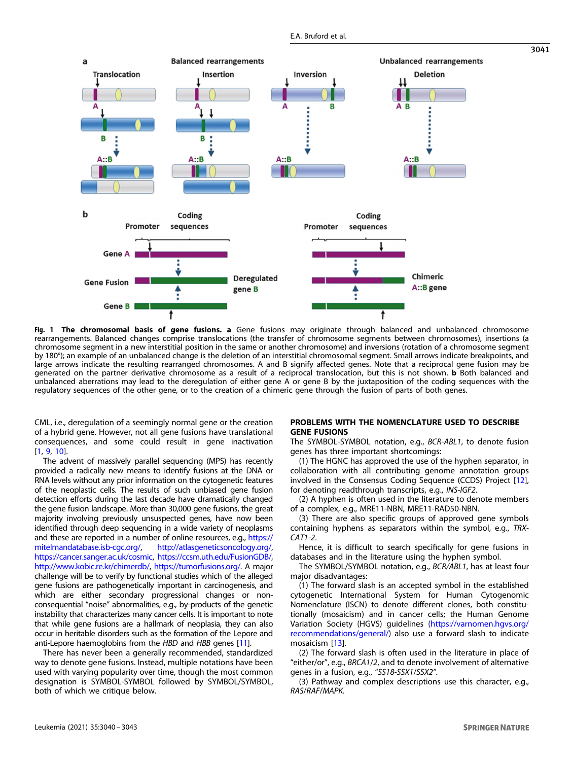<span id="page-1-0"></span>

**Fig. 1 The chromosomal basis of gene fusions. a** Gene fusions may originate through balanced and unbalanced chromosome<br>rearrangements. Balanced changes comprise translocations (the transfer of chromosome segments between chromosome segment in a new interstitial position in the same or another chromosome) and inversions (rotation of a chromosome segment by 180°); an example of an unbalanced change is the deletion of an interstitial chromosomal segment. Small arrows indicate breakpoints, and large arrows indicate the resulting rearranged chromosomes. A and B signify affected genes. Note that a reciprocal gene fusion may be generated on the partner derivative chromosome as a result of a reciprocal translocation, but this is not shown. **b** Both balanced and unbalanced aberrations may lead to the deregulation of either gene A or gene B by the juxtaposition of the coding sequences with the regulatory sequences of the other gene, or to the creation of a chimeric gene through the fusion of parts of both genes.

CML, i.e., deregulation of a seemingly normal gene or the creation of a hybrid gene. However, not all gene fusions have translational consequences, and some could result in gene inactivation [\[1,](#page-2-0) [9](#page-2-0), [10](#page-2-0)].

The advent of massively parallel sequencing (MPS) has recently provided a radically new means to identify fusions at the DNA or RNA levels without any prior information on the cytogenetic features of the neoplastic cells. The results of such unbiased gene fusion detection efforts during the last decade have dramatically changed the gene fusion landscape. More than 30,000 gene fusions, the great majority involving previously unsuspected genes, have now been identified through deep sequencing in a wide variety of neoplasms and these are reported in a number of online resources, e.g., [https://](https://mitelmandatabase.isb-cgc.org/) [mitelmandatabase.isb-cgc.org/](https://mitelmandatabase.isb-cgc.org/), <http://atlasgeneticsoncology.org/>, [https://cancer.sanger.ac.uk/cosmic,](https://cancer.sanger.ac.uk/cosmic) <https://ccsm.uth.edu/FusionGDB/>, <http://www.kobic.re.kr/chimerdb/>, [https://tumorfusions.org/.](https://tumorfusions.org/) A major challenge will be to verify by functional studies which of the alleged gene fusions are pathogenetically important in carcinogenesis, and which are either secondary progressional changes or nonconsequential "noise" abnormalities, e.g., by-products of the genetic instability that characterizes many cancer cells. It is important to note that while gene fusions are a hallmark of neoplasia, they can also occur in heritable disorders such as the formation of the Lepore and anti-Lepore haemoglobins from the HBD and HBB genes [[11](#page-2-0)].

There has never been a generally recommended, standardized way to denote gene fusions. Instead, multiple notations have been used with varying popularity over time, though the most common designation is SYMBOL-SYMBOL followed by SYMBOL/SYMBOL, both of which we critique below.

## PROBLEMS WITH THE NOMENCLATURE USED TO DESCRIBE GENE FUSIONS

The SYMBOL-SYMBOL notation, e.g., BCR-ABL1, to denote fusion genes has three important shortcomings:

(1) The HGNC has approved the use of the hyphen separator, in collaboration with all contributing genome annotation groups involved in the Consensus Coding Sequence (CCDS) Project [\[12\]](#page-2-0), for denoting readthrough transcripts, e.g., INS-IGF2.

(2) A hyphen is often used in the literature to denote members of a complex, e.g., MRE11-NBN, MRE11-RAD50-NBN.

(3) There are also specific groups of approved gene symbols containing hyphens as separators within the symbol, e.g., TRX-CAT1-2.

Hence, it is difficult to search specifically for gene fusions in databases and in the literature using the hyphen symbol.

The SYMBOL/SYMBOL notation, e.g., BCR/ABL1, has at least four major disadvantages:

(1) The forward slash is an accepted symbol in the established cytogenetic International System for Human Cytogenomic Nomenclature (ISCN) to denote different clones, both constitutionally (mosaicism) and in cancer cells; the Human Genome Variation Society (HGVS) guidelines ([https://varnomen.hgvs.org/](https://varnomen.hgvs.org/recommendations/general/) [recommendations/general/](https://varnomen.hgvs.org/recommendations/general/)) also use a forward slash to indicate mosaicism [[13\]](#page-3-0).

(2) The forward slash is often used in the literature in place of "either/or", e.g., BRCA1/2, and to denote involvement of alternative genes in a fusion, e.g., "SS18-SSX1/SSX2".

(3) Pathway and complex descriptions use this character, e.g., RAS/RAF/MAPK.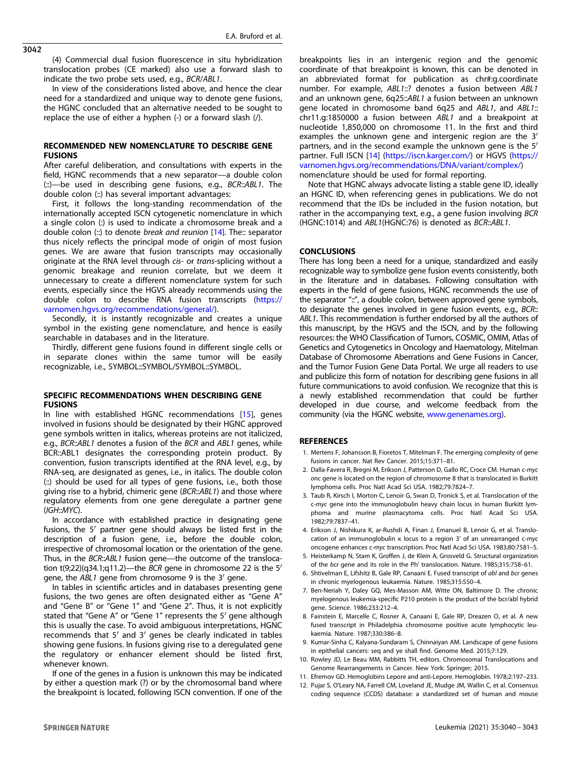<span id="page-2-0"></span>3042

(4) Commercial dual fusion fluorescence in situ hybridization translocation probes (CE marked) also use a forward slash to indicate the two probe sets used, e.g., BCR/ABL1.

In view of the considerations listed above, and hence the clear need for a standardized and unique way to denote gene fusions, the HGNC concluded that an alternative needed to be sought to replace the use of either a hyphen (-) or a forward slash  $($ /).

## RECOMMENDED NEW NOMENCLATURE TO DESCRIBE GENE **FUSIONS**

After careful deliberation, and consultations with experts in the field, HGNC recommends that a new separator—a double colon (::)—be used in describing gene fusions, e.g., BCR::ABL1. The double colon (::) has several important advantages:

First, it follows the long-standing recommendation of the internationally accepted ISCN cytogenetic nomenclature in which a single colon (:) is used to indicate a chromosome break and a double colon  $\left(\cdot\right)$  to denote *break and reunion* [[14](#page-3-0)]. The: separator thus nicely reflects the principal mode of origin of most fusion genes. We are aware that fusion transcripts may occasionally originate at the RNA level through cis- or trans-splicing without a genomic breakage and reunion correlate, but we deem it unnecessary to create a different nomenclature system for such events, especially since the HGVS already recommends using the double colon to describe RNA fusion transcripts [\(https://](https://varnomen.hgvs.org/recommendations/general/) [varnomen.hgvs.org/recommendations/general/\)](https://varnomen.hgvs.org/recommendations/general/).

Secondly, it is instantly recognizable and creates a unique symbol in the existing gene nomenclature, and hence is easily searchable in databases and in the literature.

Thirdly, different gene fusions found in different single cells or in separate clones within the same tumor will be easily recognizable, i.e., SYMBOL::SYMBOL/SYMBOL::SYMBOL.

## SPECIFIC RECOMMENDATIONS WHEN DESCRIBING GENE FUSIONS

In line with established HGNC recommendations [[15](#page-3-0)], genes involved in fusions should be designated by their HGNC approved gene symbols written in italics, whereas proteins are not italicized, e.g., BCR::ABL1 denotes a fusion of the BCR and ABL1 genes, while BCR::ABL1 designates the corresponding protein product. By convention, fusion transcripts identified at the RNA level, e.g., by RNA-seq, are designated as genes, i.e., in italics. The double colon (::) should be used for all types of gene fusions, i.e., both those giving rise to a hybrid, chimeric gene (BCR::ABL1) and those where regulatory elements from one gene deregulate a partner gene (IGH::MYC).

In accordance with established practice in designating gene fusions, the 5′ partner gene should always be listed first in the description of a fusion gene, i.e., before the double colon, irrespective of chromosomal location or the orientation of the gene. Thus, in the BCR::ABL1 fusion gene-the outcome of the translocation t(9;22)(q34.1;q11.2)—the BCR gene in chromosome 22 is the 5′ gene, the ABL1 gene from chromosome 9 is the 3′ gene.

In tables in scientific articles and in databases presenting gene fusions, the two genes are often designated either as "Gene A" and "Gene B" or "Gene 1" and "Gene 2". Thus, it is not explicitly stated that "Gene A" or "Gene 1" represents the 5′ gene although this is usually the case. To avoid ambiguous interpretations, HGNC recommends that 5′ and 3′ genes be clearly indicated in tables showing gene fusions. In fusions giving rise to a deregulated gene the regulatory or enhancer element should be listed first, whenever known.

If one of the genes in a fusion is unknown this may be indicated by either a question mark (?) or by the chromosomal band where the breakpoint is located, following ISCN convention. If one of the

breakpoints lies in an intergenic region and the genomic coordinate of that breakpoint is known, this can be denoted in an abbreviated format for publication as chr#:g.coordinate number. For example, ABL1::? denotes a fusion between ABL1 and an unknown gene, 6q25::ABL1 a fusion between an unknown gene located in chromosome band 6q25 and ABL1, and ABL1:: chr11.g:1850000 a fusion between ABL1 and a breakpoint at nucleotide 1,850,000 on chromosome 11. In the first and third examples the unknown gene and intergenic region are the 3′ partners, and in the second example the unknown gene is the 5′ partner. Full ISCN [\[14\]](#page-3-0) (<https://iscn.karger.com/>) or HGVS [\(https://](https://varnomen.hgvs.org/recommendations/DNA/variant/complex/) [varnomen.hgvs.org/recommendations/DNA/variant/complex/\)](https://varnomen.hgvs.org/recommendations/DNA/variant/complex/) nomenclature should be used for formal reporting.

Note that HGNC always advocate listing a stable gene ID, ideally an HGNC ID, when referencing genes in publications. We do not recommend that the IDs be included in the fusion notation, but rather in the accompanying text, e.g., a gene fusion involving BCR (HGNC:1014) and ABL1(HGNC:76) is denoted as BCR::ABL1.

## **CONCLUSIONS**

There has long been a need for a unique, standardized and easily recognizable way to symbolize gene fusion events consistently, both in the literature and in databases. Following consultation with experts in the field of gene fusions, HGNC recommends the use of the separator "::", a double colon, between approved gene symbols, to designate the genes involved in gene fusion events, e.g., BCR:: ABL1. This recommendation is further endorsed by all the authors of this manuscript, by the HGVS and the ISCN, and by the following resources: the WHO Classification of Tumors, COSMIC, OMIM, Atlas of Genetics and Cytogenetics in Oncology and Haematology, Mitelman Database of Chromosome Aberrations and Gene Fusions in Cancer, and the Tumor Fusion Gene Data Portal. We urge all readers to use and publicize this form of notation for describing gene fusions in all future communications to avoid confusion. We recognize that this is a newly established recommendation that could be further developed in due course, and welcome feedback from the community (via the HGNC website, [www.genenames.org](http://www.genenames.org)).

#### REFERENCES

- 1. Mertens F, Johansson B, Fioretos T, Mitelman F. The emerging complexity of gene fusions in cancer. Nat Rev Cancer. 2015;15:371–81.
- 2. Dalla-Favera R, Bregni M, Erikson J, Patterson D, Gallo RC, Croce CM. Human c-myc onc gene is located on the region of chromosome 8 that is translocated in Burkitt lymphoma cells. Proc Natl Acad Sci USA. 1982;79:7824–7.
- 3. Taub R, Kirsch I, Morton C, Lenoir G, Swan D, Tronick S, et al. Translocation of the c-myc gene into the immunoglobulin heavy chain locus in human Burkitt lymphoma and murine plasmacytoma cells. Proc Natl Acad Sci USA. 1982;79:7837–41.
- 4. Erikson J, Nishikura K, ar-Rushdi A, Finan J, Emanuel B, Lenoir G, et al. Translocation of an immunoglobulin κ locus to a region 3' of an unrearranged c-myc oncogene enhances c-myc transcription. Proc Natl Acad Sci USA. 1983;80:7581–5.
- 5. Heisterkamp N, Stam K, Groffen J, de Klein A, Grosveld G. Structural organization of the bcr gene and its role in the Ph' translocation. Nature. 1985;315:758–61.
- 6. Shtivelman E, Lifshitz B, Gale RP, Canaani E. Fused transcript of abl and bcr genes in chronic myelogenous leukaemia. Nature. 1985;315:550–4.
- 7. Ben-Neriah Y, Daley GQ, Mes-Masson AM, Witte ON, Baltimore D. The chronic myelogenous leukemia-specific P210 protein is the product of the bcr/abl hybrid gene. Science. 1986;233:212–4.
- 8. Fainstein E, Marcelle C, Rosner A, Canaani E, Gale RP, Dreazen O, et al. A new fused transcript in Philadelphia chromosome positive acute lymphocytic leukaemia. Nature. 1987;330:386–8.
- 9. Kumar-Sinha C, Kalyana-Sundaram S, Chinnaiyan AM. Landscape of gene fusions in epithelial cancers: seq and ye shall find. Genome Med. 2015;7:129.
- 10. Rowley JD, Le Beau MM, Rabbitts TH, editors. Chromosomal Translocations and Genome Rearrangements in Cancer. New York: Springer; 2015.
- 11. Efremov GD. Hemoglobins Lepore and anti-Lepore. Hemoglobin. 1978;2:197–233.
- 12. Pujar S, O'Leary NA, Farrell CM, Loveland JE, Mudge JM, Wallin C, et al. Consensus coding sequence (CCDS) database: a standardized set of human and mouse